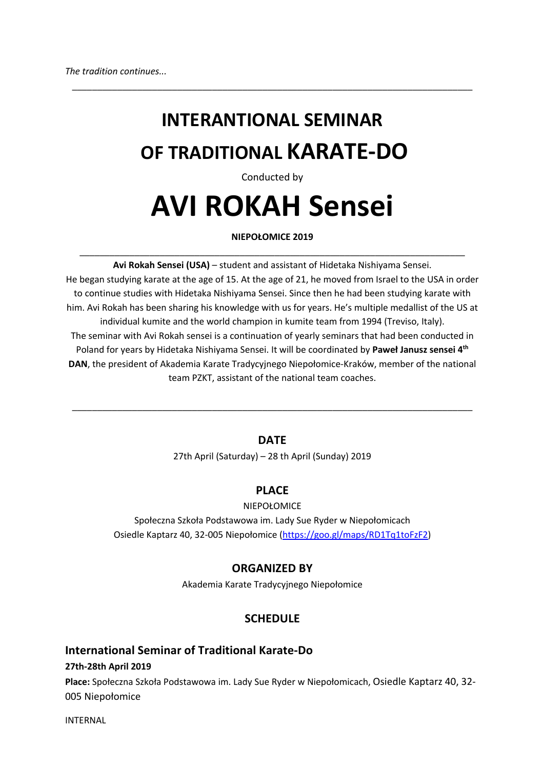## **INTERANTIONAL SEMINAR OF TRADITIONAL KARATE-DO**

\_\_\_\_\_\_\_\_\_\_\_\_\_\_\_\_\_\_\_\_\_\_\_\_\_\_\_\_\_\_\_\_\_\_\_\_\_\_\_\_\_\_\_\_\_\_\_\_\_\_\_\_\_\_\_\_\_\_\_\_\_\_\_\_\_\_\_\_\_\_\_\_\_\_\_\_\_\_\_\_

#### Conducted by

# **AVI ROKAH Sensei**

## **NIEPOŁOMICE 2019** \_\_\_\_\_\_\_\_\_\_\_\_\_\_\_\_\_\_\_\_\_\_\_\_\_\_\_\_\_\_\_\_\_\_\_\_\_\_\_\_\_\_\_\_\_\_\_\_\_\_\_\_\_\_\_\_\_\_\_\_\_\_\_\_\_\_\_\_\_\_\_\_\_\_\_\_\_

**Avi Rokah Sensei (USA)** – student and assistant of Hidetaka Nishiyama Sensei. He began studying karate at the age of 15. At the age of 21, he moved from Israel to the USA in order to continue studies with Hidetaka Nishiyama Sensei. Since then he had been studying karate with him. Avi Rokah has been sharing his knowledge with us for years. He's multiple medallist of the US at individual kumite and the world champion in kumite team from 1994 (Treviso, Italy). The seminar with Avi Rokah sensei is a continuation of yearly seminars that had been conducted in Poland for years by Hidetaka Nishiyama Sensei. It will be coordinated by **Paweł Janusz sensei 4th DAN**, the president of Akademia Karate Tradycyjnego Niepołomice-Kraków, member of the national team PZKT, assistant of the national team coaches.

## **DATE**

\_\_\_\_\_\_\_\_\_\_\_\_\_\_\_\_\_\_\_\_\_\_\_\_\_\_\_\_\_\_\_\_\_\_\_\_\_\_\_\_\_\_\_\_\_\_\_\_\_\_\_\_\_\_\_\_\_\_\_\_\_\_\_\_\_\_\_\_\_\_\_\_\_\_\_\_\_\_\_\_

27th April (Saturday) – 28 th April (Sunday) 2019

## **PLACE**

#### NIEPOŁOMICE

Społeczna Szkoła Podstawowa im. Lady Sue Ryder w Niepołomicach Osiedle Kaptarz 40, 32-005 Niepołomice (https://goo.gl/maps/RD1Tq1toFzF2)

## **ORGANIZED BY**

Akademia Karate Tradycyjnego Niepołomice

## **SCHEDULE**

## **International Seminar of Traditional Karate-Do**

**27th-28th April 2019**

**Place:** Społeczna Szkoła Podstawowa im. Lady Sue Ryder w Niepołomicach, Osiedle Kaptarz 40, 32- 005 Niepołomice

INTERNAL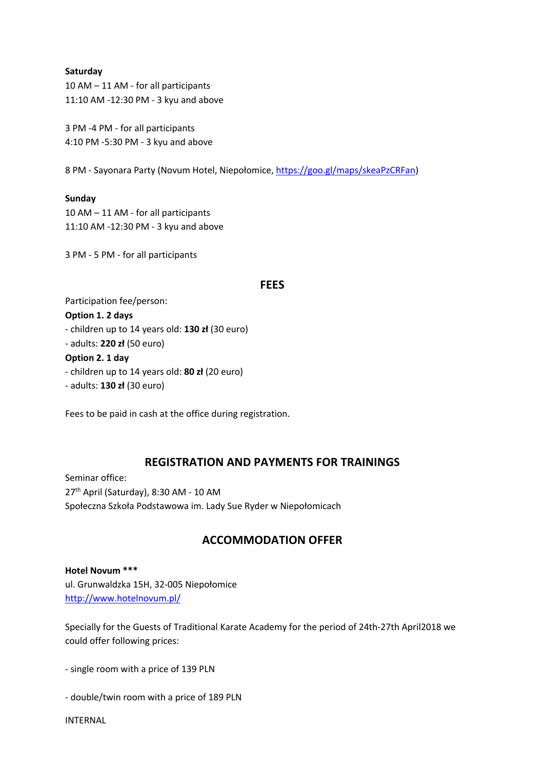#### **Saturday**

10 AM – 11 AM - for all participants 11:10 AM -12:30 PM - 3 kyu and above

3 PM -4 PM - for all participants 4:10 PM -5:30 PM - 3 kyu and above

8 PM - Sayonara Party (Novum Hotel, Niepołomice, https://goo.gl/maps/skeaPzCRFan)

#### **Sunday**

10 AM – 11 AM - for all participants 11:10 AM -12:30 PM - 3 kyu and above

3 PM - 5 PM - for all participants

#### **FEES**

Participation fee/person:

#### **Option 1. 2 days**

- children up to 14 years old: **130 zł** (30 euro)

- adults: **220 zł** (50 euro)

#### **Option 2. 1 day**

- children up to 14 years old: **80 zł** (20 euro)
- adults: **130 zł** (30 euro)

Fees to be paid in cash at the office during registration.

## **REGISTRATION AND PAYMENTS FOR TRAININGS**

Seminar office: 27<sup>th</sup> April (Saturday), 8:30 AM - 10 AM Społeczna Szkoła Podstawowa im. Lady Sue Ryder w Niepołomicach

## **ACCOMMODATION OFFER**

**Hotel Novum \*\*\*** ul. Grunwaldzka 15H, 32-005 Niepołomice http://www.hotelnovum.pl/

Specially for the Guests of Traditional Karate Academy for the period of 24th-27th April2018 we could offer following prices:

- single room with a price of 139 PLN

- double/twin room with a price of 189 PLN

INTERNAL